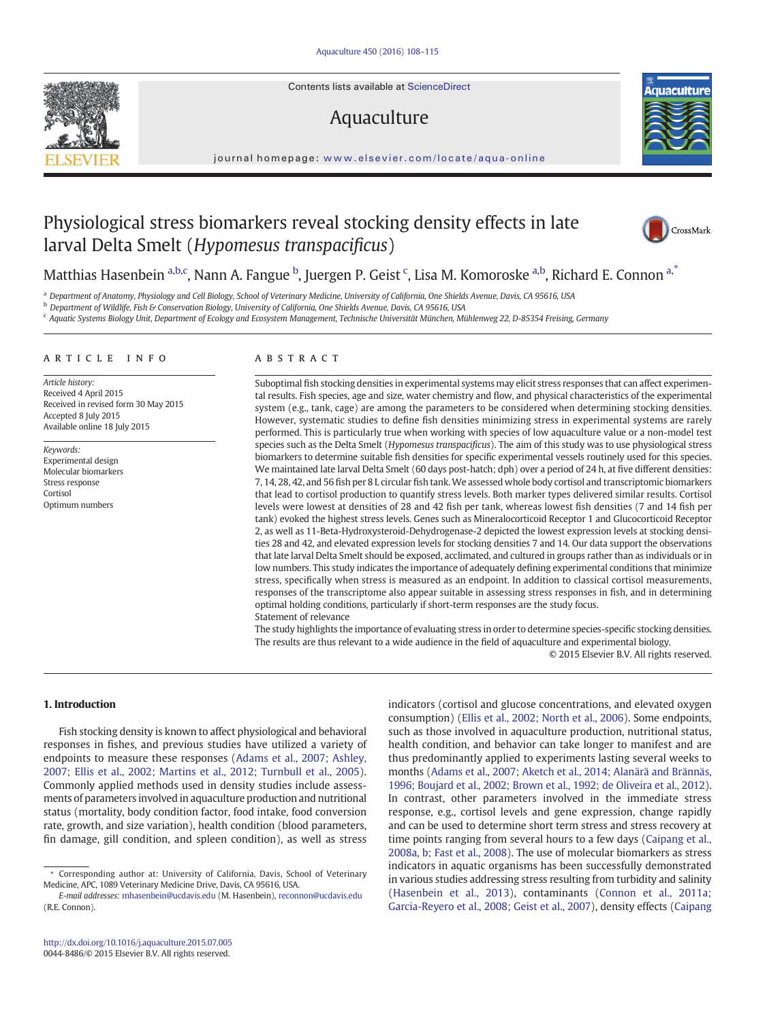Contents lists available at ScienceDirect

# Aquaculture

journal homepage: [www.elsevier.com/locate/aqua-online](www.elsevier.com/locate/aquanline)

# Physiological stress biomarkers reveal stocking density effects in late larval Delta Smelt (Hypomesus transpacificus)

Matthias Hasenbein <sup>a,b,c</sup>, Nann A. Fangue <sup>b</sup>, Juergen P. Geist <sup>c</sup>, Lisa M. Komoroske <sup>a,b</sup>, Richard E. Connon <sup>a,\*</sup>

a Department of Anatomy, Physiology and Cell Biology, School of Veterinary Medicine, University of California, One Shields Avenue, Davis, CA 95616, USA

<sup>b</sup> Department of Wildlife, Fish & Conservation Biology, University of California, One Shields Avenue, Davis, CA 95616, USA

<sup>c</sup> Aquatic Systems Biology Unit, Department of Ecology and Ecosystem Management, Technische Universität München, Mühlenweg 22, D-85354 Freising, Germany

#### article info abstract

Article history: Received 4 April 2015 Received in revised form 30 May 2015 Accepted 8 July 2015 Available online 18 July 2015

Keywords: Experimental design Molecular biomarkers Stress response Cortisol Optimum numbers

Suboptimal fish stocking densities in experimental systems may elicit stress responses that can affect experimental results. Fish species, age and size, water chemistry and flow, and physical characteristics of the experimental system (e.g., tank, cage) are among the parameters to be considered when determining stocking densities. However, systematic studies to define fish densities minimizing stress in experimental systems are rarely performed. This is particularly true when working with species of low aquaculture value or a non-model test species such as the Delta Smelt (Hypomesus transpacificus). The aim of this study was to use physiological stress biomarkers to determine suitable fish densities for specific experimental vessels routinely used for this species. We maintained late larval Delta Smelt (60 days post-hatch; dph) over a period of 24 h, at five different densities: 7, 14, 28, 42, and 56 fish per 8 L circular fish tank.We assessed whole body cortisol and transcriptomic biomarkers that lead to cortisol production to quantify stress levels. Both marker types delivered similar results. Cortisol levels were lowest at densities of 28 and 42 fish per tank, whereas lowest fish densities (7 and 14 fish per tank) evoked the highest stress levels. Genes such as Mineralocorticoid Receptor 1 and Glucocorticoid Receptor 2, as well as 11-Beta-Hydroxysteroid-Dehydrogenase-2 depicted the lowest expression levels at stocking densities 28 and 42, and elevated expression levels for stocking densities 7 and 14. Our data support the observations that late larval Delta Smelt should be exposed, acclimated, and cultured in groups rather than as individuals or in low numbers. This study indicates the importance of adequately defining experimental conditions that minimize stress, specifically when stress is measured as an endpoint. In addition to classical cortisol measurements, responses of the transcriptome also appear suitable in assessing stress responses in fish, and in determining optimal holding conditions, particularly if short-term responses are the study focus. Statement of relevance

The study highlights the importance of evaluating stress in order to determine species-specific stocking densities. The results are thus relevant to a wide audience in the field of aquaculture and experimental biology. © 2015 Elsevier B.V. All rights reserved.

#### 1. Introduction

Fish stocking density is known to affect physiological and behavioral responses in fishes, and previous studies have utilized a variety of endpoints to measure these responses [\(Adams et al., 2007; Ashley,](#page-6-0) [2007; Ellis et al., 2002; Martins et al., 2012; Turnbull et al., 2005](#page-6-0)). Commonly applied methods used in density studies include assessments of parameters involved in aquaculture production and nutritional status (mortality, body condition factor, food intake, food conversion rate, growth, and size variation), health condition (blood parameters, fin damage, gill condition, and spleen condition), as well as stress

indicators (cortisol and glucose concentrations, and elevated oxygen consumption) ([Ellis et al., 2002; North et al., 2006](#page-6-0)). Some endpoints, such as those involved in aquaculture production, nutritional status, health condition, and behavior can take longer to manifest and are thus predominantly applied to experiments lasting several weeks to months ([Adams et al., 2007; Aketch et al., 2014; Alanärä and Brännäs,](#page-6-0) [1996; Boujard et al., 2002; Brown et al., 1992; de Oliveira et al., 2012\)](#page-6-0). In contrast, other parameters involved in the immediate stress response, e.g., cortisol levels and gene expression, change rapidly and can be used to determine short term stress and stress recovery at time points ranging from several hours to a few days ([Caipang et al.,](#page-6-0) [2008a, b; Fast et al., 2008\)](#page-6-0). The use of molecular biomarkers as stress indicators in aquatic organisms has been successfully demonstrated in various studies addressing stress resulting from turbidity and salinity [\(Hasenbein et al., 2013\)](#page-7-0), contaminants ([Connon et al., 2011a;](#page-6-0) [Garcia-Reyero et al., 2008; Geist et al., 2007\)](#page-6-0), density effects [\(Caipang](#page-6-0)





CrossMark



<sup>⁎</sup> Corresponding author at: University of California, Davis, School of Veterinary Medicine, APC, 1089 Veterinary Medicine Drive, Davis, CA 95616, USA.

E-mail addresses: [mhasenbein@ucdavis.edu](mailto:mhasenbein@ucdavis.edu) (M. Hasenbein), [reconnon@ucdavis.edu](mailto:reconnon@ucdavis.edu) (R.E. Connon).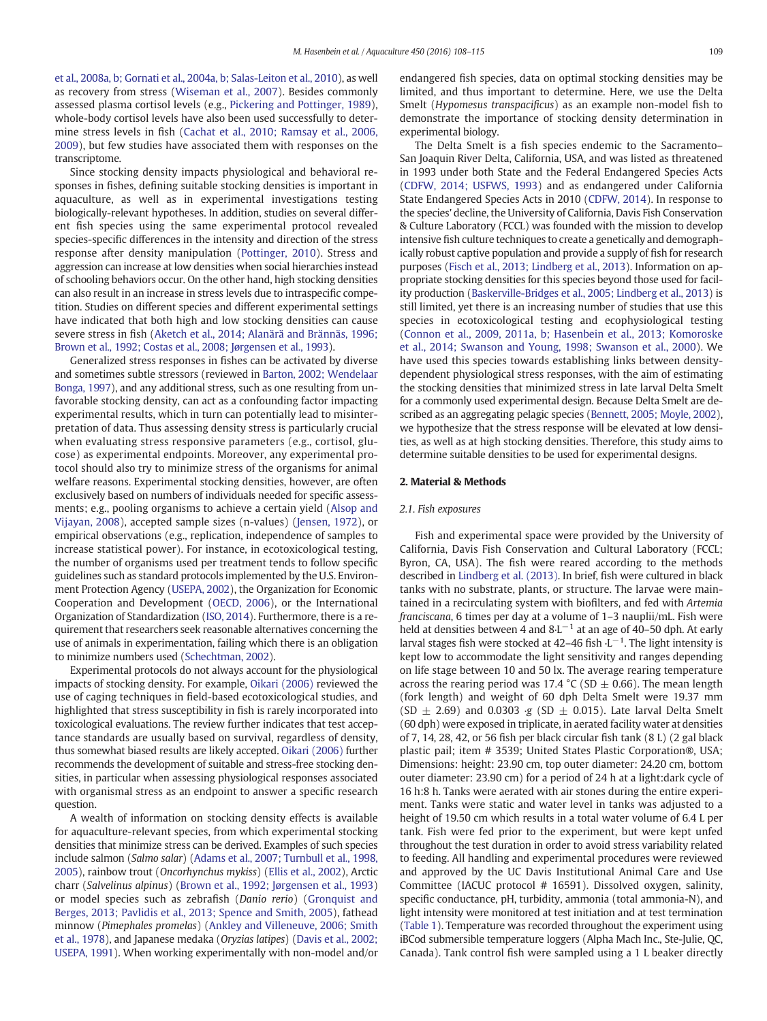[et al., 2008a, b; Gornati et al., 2004a, b; Salas-Leiton et al., 2010](#page-6-0)), as well as recovery from stress [\(Wiseman et al., 2007\)](#page-7-0). Besides commonly assessed plasma cortisol levels (e.g., [Pickering and Pottinger, 1989](#page-7-0)), whole-body cortisol levels have also been used successfully to determine stress levels in fish ([Cachat et al., 2010; Ramsay et al., 2006,](#page-6-0) [2009\)](#page-6-0), but few studies have associated them with responses on the transcriptome.

Since stocking density impacts physiological and behavioral responses in fishes, defining suitable stocking densities is important in aquaculture, as well as in experimental investigations testing biologically-relevant hypotheses. In addition, studies on several different fish species using the same experimental protocol revealed species-specific differences in the intensity and direction of the stress response after density manipulation [\(Pottinger, 2010](#page-7-0)). Stress and aggression can increase at low densities when social hierarchies instead of schooling behaviors occur. On the other hand, high stocking densities can also result in an increase in stress levels due to intraspecific competition. Studies on different species and different experimental settings have indicated that both high and low stocking densities can cause severe stress in fish [\(Aketch et al., 2014; Alanärä and Brännäs, 1996;](#page-6-0) [Brown et al., 1992; Costas et al., 2008; Jørgensen et al., 1993](#page-6-0)).

Generalized stress responses in fishes can be activated by diverse and sometimes subtle stressors (reviewed in [Barton, 2002; Wendelaar](#page-6-0) [Bonga, 1997](#page-6-0)), and any additional stress, such as one resulting from unfavorable stocking density, can act as a confounding factor impacting experimental results, which in turn can potentially lead to misinterpretation of data. Thus assessing density stress is particularly crucial when evaluating stress responsive parameters (e.g., cortisol, glucose) as experimental endpoints. Moreover, any experimental protocol should also try to minimize stress of the organisms for animal welfare reasons. Experimental stocking densities, however, are often exclusively based on numbers of individuals needed for specific assessments; e.g., pooling organisms to achieve a certain yield ([Alsop and](#page-6-0) [Vijayan, 2008](#page-6-0)), accepted sample sizes (n-values) ([Jensen, 1972\)](#page-7-0), or empirical observations (e.g., replication, independence of samples to increase statistical power). For instance, in ecotoxicological testing, the number of organisms used per treatment tends to follow specific guidelines such as standard protocols implemented by the U.S. Environment Protection Agency [\(USEPA, 2002](#page-7-0)), the Organization for Economic Cooperation and Development [\(OECD, 2006\)](#page-7-0), or the International Organization of Standardization [\(ISO, 2014](#page-7-0)). Furthermore, there is a requirement that researchers seek reasonable alternatives concerning the use of animals in experimentation, failing which there is an obligation to minimize numbers used ([Schechtman, 2002\)](#page-7-0).

Experimental protocols do not always account for the physiological impacts of stocking density. For example, [Oikari \(2006\)](#page-7-0) reviewed the use of caging techniques in field-based ecotoxicological studies, and highlighted that stress susceptibility in fish is rarely incorporated into toxicological evaluations. The review further indicates that test acceptance standards are usually based on survival, regardless of density, thus somewhat biased results are likely accepted. [Oikari \(2006\)](#page-7-0) further recommends the development of suitable and stress-free stocking densities, in particular when assessing physiological responses associated with organismal stress as an endpoint to answer a specific research question.

A wealth of information on stocking density effects is available for aquaculture-relevant species, from which experimental stocking densities that minimize stress can be derived. Examples of such species include salmon (Salmo salar) ([Adams et al., 2007; Turnbull et al., 1998,](#page-6-0) [2005\)](#page-6-0), rainbow trout (Oncorhynchus mykiss) ([Ellis et al., 2002](#page-6-0)), Arctic charr (Salvelinus alpinus) ([Brown et al., 1992; Jørgensen et al., 1993](#page-6-0)) or model species such as zebrafish (Danio rerio) [\(Gronquist and](#page-7-0) [Berges, 2013; Pavlidis et al., 2013; Spence and Smith, 2005](#page-7-0)), fathead minnow (Pimephales promelas) [\(Ankley and Villeneuve, 2006; Smith](#page-6-0) [et al., 1978](#page-6-0)), and Japanese medaka (Oryzias latipes) [\(Davis et al., 2002;](#page-6-0) [USEPA, 1991](#page-6-0)). When working experimentally with non-model and/or endangered fish species, data on optimal stocking densities may be limited, and thus important to determine. Here, we use the Delta Smelt (Hypomesus transpacificus) as an example non-model fish to demonstrate the importance of stocking density determination in experimental biology.

The Delta Smelt is a fish species endemic to the Sacramento– San Joaquin River Delta, California, USA, and was listed as threatened in 1993 under both State and the Federal Endangered Species Acts [\(CDFW, 2014; USFWS, 1993\)](#page-6-0) and as endangered under California State Endangered Species Acts in 2010 [\(CDFW, 2014](#page-6-0)). In response to the species' decline, the University of California, Davis Fish Conservation & Culture Laboratory (FCCL) was founded with the mission to develop intensive fish culture techniques to create a genetically and demographically robust captive population and provide a supply of fish for research purposes ([Fisch et al., 2013; Lindberg et al., 2013\)](#page-6-0). Information on appropriate stocking densities for this species beyond those used for facility production [\(Baskerville-Bridges et al., 2005; Lindberg et al., 2013](#page-6-0)) is still limited, yet there is an increasing number of studies that use this species in ecotoxicological testing and ecophysiological testing [\(Connon et al., 2009, 2011a, b; Hasenbein et al., 2013; Komoroske](#page-6-0) [et al., 2014; Swanson and Young, 1998; Swanson et al., 2000\)](#page-6-0). We have used this species towards establishing links between densitydependent physiological stress responses, with the aim of estimating the stocking densities that minimized stress in late larval Delta Smelt for a commonly used experimental design. Because Delta Smelt are described as an aggregating pelagic species [\(Bennett, 2005; Moyle, 2002](#page-6-0)), we hypothesize that the stress response will be elevated at low densities, as well as at high stocking densities. Therefore, this study aims to determine suitable densities to be used for experimental designs.

#### 2. Material & Methods

#### 2.1. Fish exposures

Fish and experimental space were provided by the University of California, Davis Fish Conservation and Cultural Laboratory (FCCL; Byron, CA, USA). The fish were reared according to the methods described in [Lindberg et al. \(2013\)](#page-7-0). In brief, fish were cultured in black tanks with no substrate, plants, or structure. The larvae were maintained in a recirculating system with biofilters, and fed with Artemia franciscana, 6 times per day at a volume of 1–3 nauplii/mL. Fish were held at densities between 4 and  $8·L^{-1}$  at an age of 40–50 dph. At early larval stages fish were stocked at 42–46 fish  $\cdot$ L<sup>-1</sup>. The light intensity is kept low to accommodate the light sensitivity and ranges depending on life stage between 10 and 50 lx. The average rearing temperature across the rearing period was 17.4 °C (SD  $\pm$  0.66). The mean length (fork length) and weight of 60 dph Delta Smelt were 19.37 mm (SD  $\pm$  2.69) and 0.0303 ⋅g (SD  $\pm$  0.015). Late larval Delta Smelt (60 dph) were exposed in triplicate, in aerated facility water at densities of 7, 14, 28, 42, or 56 fish per black circular fish tank (8 L) (2 gal black plastic pail; item # 3539; United States Plastic Corporation®, USA; Dimensions: height: 23.90 cm, top outer diameter: 24.20 cm, bottom outer diameter: 23.90 cm) for a period of 24 h at a light:dark cycle of 16 h:8 h. Tanks were aerated with air stones during the entire experiment. Tanks were static and water level in tanks was adjusted to a height of 19.50 cm which results in a total water volume of 6.4 L per tank. Fish were fed prior to the experiment, but were kept unfed throughout the test duration in order to avoid stress variability related to feeding. All handling and experimental procedures were reviewed and approved by the UC Davis Institutional Animal Care and Use Committee (IACUC protocol # 16591). Dissolved oxygen, salinity, specific conductance, pH, turbidity, ammonia (total ammonia-N), and light intensity were monitored at test initiation and at test termination [\(Table 1](#page-2-0)). Temperature was recorded throughout the experiment using iBCod submersible temperature loggers (Alpha Mach Inc., Ste-Julie, QC, Canada). Tank control fish were sampled using a 1 L beaker directly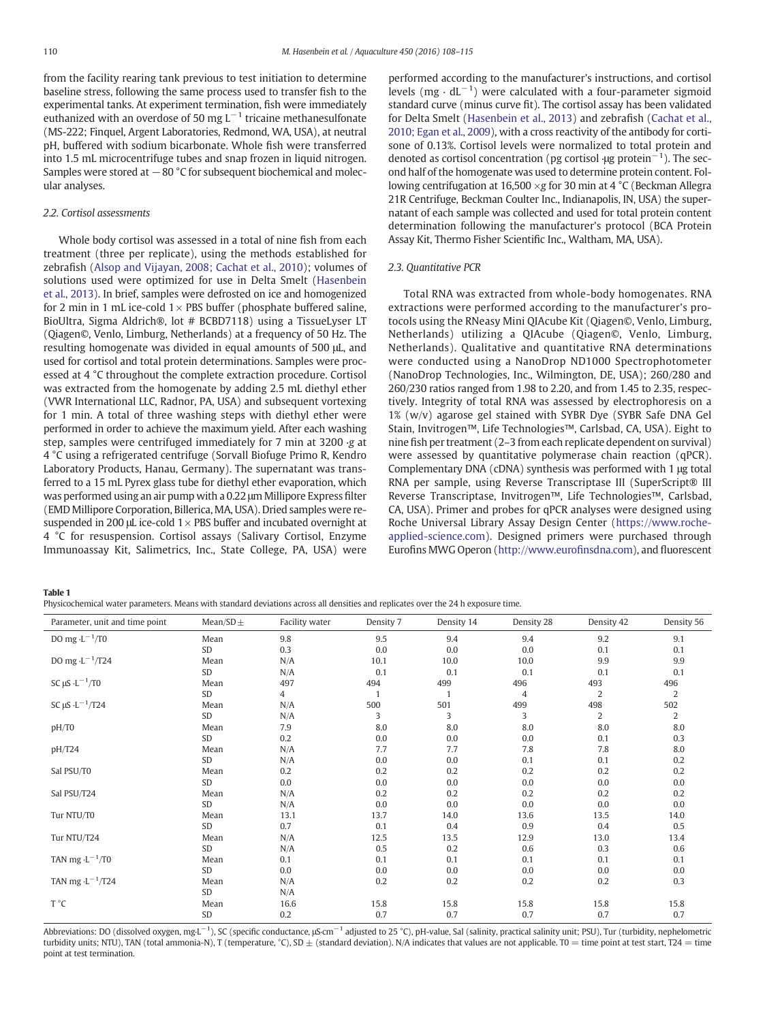<span id="page-2-0"></span>from the facility rearing tank previous to test initiation to determine baseline stress, following the same process used to transfer fish to the experimental tanks. At experiment termination, fish were immediately euthanized with an overdose of 50 mg  $L^{-1}$  tricaine methanesulfonate (MS-222; Finquel, Argent Laboratories, Redmond, WA, USA), at neutral pH, buffered with sodium bicarbonate. Whole fish were transferred into 1.5 mL microcentrifuge tubes and snap frozen in liquid nitrogen. Samples were stored at −80 °C for subsequent biochemical and molecular analyses.

# 2.2. Cortisol assessments

Whole body cortisol was assessed in a total of nine fish from each treatment (three per replicate), using the methods established for zebrafish [\(Alsop and Vijayan, 2008; Cachat et al., 2010](#page-6-0)); volumes of solutions used were optimized for use in Delta Smelt [\(Hasenbein](#page-7-0) [et al., 2013\)](#page-7-0). In brief, samples were defrosted on ice and homogenized for 2 min in 1 mL ice-cold  $1 \times$  PBS buffer (phosphate buffered saline, BioUltra, Sigma Aldrich®, lot # BCBD7118) using a TissueLyser LT (Qiagen©, Venlo, Limburg, Netherlands) at a frequency of 50 Hz. The resulting homogenate was divided in equal amounts of 500 μL, and used for cortisol and total protein determinations. Samples were processed at 4 °C throughout the complete extraction procedure. Cortisol was extracted from the homogenate by adding 2.5 mL diethyl ether (VWR International LLC, Radnor, PA, USA) and subsequent vortexing for 1 min. A total of three washing steps with diethyl ether were performed in order to achieve the maximum yield. After each washing step, samples were centrifuged immediately for 7 min at 3200 ∙g at 4 °C using a refrigerated centrifuge (Sorvall Biofuge Primo R, Kendro Laboratory Products, Hanau, Germany). The supernatant was transferred to a 15 mL Pyrex glass tube for diethyl ether evaporation, which was performed using an air pump with a 0.22 μm Millipore Express filter (EMD Millipore Corporation, Billerica, MA, USA). Dried samples were resuspended in 200 μL ice-cold  $1 \times$  PBS buffer and incubated overnight at 4 °C for resuspension. Cortisol assays (Salivary Cortisol, Enzyme Immunoassay Kit, Salimetrics, Inc., State College, PA, USA) were

performed according to the manufacturer's instructions, and cortisol levels (mg ⋅  $dL^{-1}$ ) were calculated with a four-parameter sigmoid standard curve (minus curve fit). The cortisol assay has been validated for Delta Smelt [\(Hasenbein et al., 2013\)](#page-7-0) and zebrafish [\(Cachat et al.,](#page-6-0) [2010; Egan et al., 2009\)](#page-6-0), with a cross reactivity of the antibody for cortisone of 0.13%. Cortisol levels were normalized to total protein and denoted as cortisol concentration (pg cortisol ∤ug protein<sup>-1</sup>). The second half of the homogenate was used to determine protein content. Following centrifugation at 16,500 ×g for 30 min at 4 °C (Beckman Allegra 21R Centrifuge, Beckman Coulter Inc., Indianapolis, IN, USA) the supernatant of each sample was collected and used for total protein content determination following the manufacturer's protocol (BCA Protein Assay Kit, Thermo Fisher Scientific Inc., Waltham, MA, USA).

#### 2.3. Quantitative PCR

Total RNA was extracted from whole-body homogenates. RNA extractions were performed according to the manufacturer's protocols using the RNeasy Mini QIAcube Kit (Qiagen©, Venlo, Limburg, Netherlands) utilizing a QIAcube (Qiagen©, Venlo, Limburg, Netherlands). Qualitative and quantitative RNA determinations were conducted using a NanoDrop ND1000 Spectrophotometer (NanoDrop Technologies, Inc., Wilmington, DE, USA); 260/280 and 260/230 ratios ranged from 1.98 to 2.20, and from 1.45 to 2.35, respectively. Integrity of total RNA was assessed by electrophoresis on a 1% (w/v) agarose gel stained with SYBR Dye (SYBR Safe DNA Gel Stain, Invitrogen™, Life Technologies™, Carlsbad, CA, USA). Eight to nine fish per treatment (2–3 from each replicate dependent on survival) were assessed by quantitative polymerase chain reaction (qPCR). Complementary DNA (cDNA) synthesis was performed with 1 μg total RNA per sample, using Reverse Transcriptase III (SuperScript® III Reverse Transcriptase, Invitrogen™, Life Technologies™, Carlsbad, CA, USA). Primer and probes for qPCR analyses were designed using Roche Universal Library Assay Design Center [\(https://www.roche](https://www.roche-applied-science.com)[applied-science.com\)](https://www.roche-applied-science.com). Designed primers were purchased through Eurofins MWG Operon [\(http://www.euro](http://www.eurofinsdna.com)finsdna.com), and fluorescent

Table 1

|  | Physicochemical water parameters. Means with standard deviations across all densities and replicates over the 24 h exposure time. |  |
|--|-----------------------------------------------------------------------------------------------------------------------------------|--|
|  |                                                                                                                                   |  |

| Parameter, unit and time point          | Mean/SD $\pm$ | Facility water | Density 7 | Density 14 | Density 28     | Density 42     | Density 56     |
|-----------------------------------------|---------------|----------------|-----------|------------|----------------|----------------|----------------|
| DO mg $\cdot L^{-1}/T0$                 | Mean          | 9.8            | 9.5       | 9.4        | 9.4            | 9.2            | 9.1            |
|                                         | SD            | 0.3            | 0.0       | 0.0        | 0.0            | 0.1            | 0.1            |
| DO mg $\cdot L^{-1}/T24$                | Mean          | N/A            | 10.1      | 10.0       | 10.0           | 9.9            | 9.9            |
|                                         | SD            | N/A            | 0.1       | 0.1        | 0.1            | 0.1            | 0.1            |
| SC $\mu$ S $\cdot$ L $^{-1}$ /TO        | Mean          | 497            | 494       | 499        | 496            | 493            | 496            |
|                                         | SD            | 4              | 1         |            | $\overline{4}$ | $\overline{2}$ | $\overline{2}$ |
| SC $\mu$ S $\cdot$ L <sup>-1</sup> /T24 | Mean          | N/A            | 500       | 501        | 499            | 498            | 502            |
|                                         | SD            | N/A            | 3         | 3          | 3              | $\overline{2}$ | 2              |
| pH/T0                                   | Mean          | 7.9            | 8.0       | 8.0        | 8.0            | 8.0            | 8.0            |
|                                         | SD            | 0.2            | 0.0       | 0.0        | 0.0            | 0.1            | 0.3            |
| pH/T24                                  | Mean          | N/A            | 7.7       | 7.7        | 7.8            | 7.8            | 8.0            |
|                                         | SD            | N/A            | 0.0       | 0.0        | 0.1            | 0.1            | 0.2            |
| Sal PSU/T0                              | Mean          | 0.2            | 0.2       | 0.2        | 0.2            | 0.2            | 0.2            |
|                                         | SD            | 0.0            | 0.0       | 0.0        | 0.0            | 0.0            | 0.0            |
| Sal PSU/T24                             | Mean          | N/A            | 0.2       | 0.2        | 0.2            | 0.2            | 0.2            |
|                                         | SD            | N/A            | 0.0       | 0.0        | 0.0            | 0.0            | 0.0            |
| Tur NTU/T0                              | Mean          | 13.1           | 13.7      | 14.0       | 13.6           | 13.5           | 14.0           |
|                                         | SD            | 0.7            | 0.1       | 0.4        | 0.9            | 0.4            | 0.5            |
| Tur NTU/T24                             | Mean          | N/A            | 12.5      | 13.5       | 12.9           | 13.0           | 13.4           |
|                                         | SD            | N/A            | 0.5       | 0.2        | 0.6            | 0.3            | 0.6            |
| TAN mg $\cdot$ L <sup>-1</sup> /T0      | Mean          | 0.1            | 0.1       | 0.1        | 0.1            | 0.1            | 0.1            |
|                                         | <b>SD</b>     | 0.0            | 0.0       | 0.0        | 0.0            | 0.0            | 0.0            |
| TAN mg $\cdot$ L <sup>-1</sup> /T24     | Mean          | N/A            | 0.2       | 0.2        | 0.2            | 0.2            | 0.3            |
|                                         | SD            | N/A            |           |            |                |                |                |
| T °C                                    | Mean          | 16.6           | 15.8      | 15.8       | 15.8           | 15.8           | 15.8           |
|                                         | SD            | 0.2            | 0.7       | 0.7        | 0.7            | 0.7            | 0.7            |

Abbreviations: DO (dissolved oxygen, mg⋅L<sup>-1</sup>), SC (specific conductance, μS⋅cm<sup>-1</sup> adjusted to 25 °C), pH-value, Sal (salinity, practical salinity unit; PSU), Tur (turbidity, nephelometric turbidity units; NTU), TAN (total ammonia-N), T (temperature, °C), SD  $\pm$  (standard deviation). N/A indicates that values are not applicable. T0 = time point at test start, T24 = time point at test termination.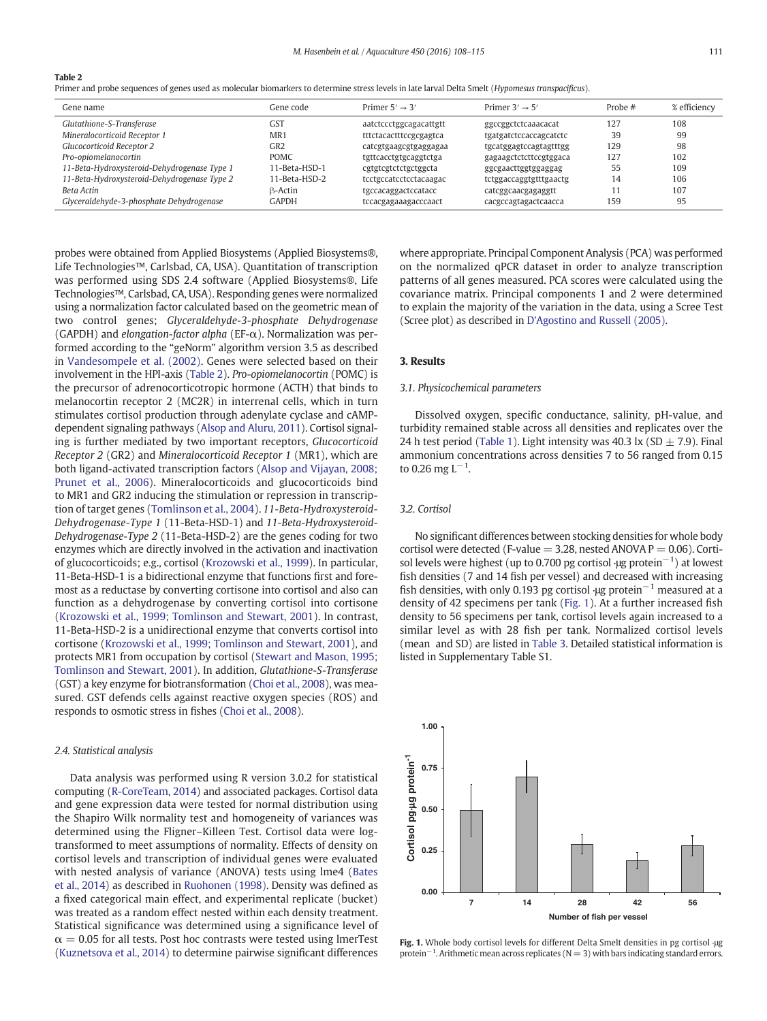<span id="page-3-0"></span>Table 2

Primer and probe sequences of genes used as molecular biomarkers to determine stress levels in late larval Delta Smelt (Hypomesus transpacificus).

| Gene name                                   | Gene code       | Primer $5' \rightarrow 3'$ | Primer $3' \rightarrow 5'$ | Probe $#$ | % efficiency |
|---------------------------------------------|-----------------|----------------------------|----------------------------|-----------|--------------|
| Glutathione-S-Transferase                   | <b>GST</b>      | aatctccctggcagacattgtt     | ggccggctctcaaacacat        | 127       | 108          |
| Mineralocorticoid Receptor 1                | MR <sub>1</sub> | tttctacactttccgcgagtca     | tgatgatctccaccagcatctc     | 39        | 99           |
| Glucocorticoid Receptor 2                   | GR2             | catcgtgaagcgtgaggagaa      | tgcatggagtccagtagtttgg     | 129       | 98           |
| Pro-opiomelanocortin                        | <b>POMC</b>     | tgttcacctgtgcaggtctga      | gagaagctctcttccgtggaca     | 127       | 102          |
| 11-Beta-Hydroxysteroid-Dehydrogenase Type 1 | 11-Beta-HSD-1   | cgtgtcgtctctgctggcta       | ggcgaacttggtggaggag        | 55        | 109          |
| 11-Beta-Hydroxysteroid-Dehydrogenase Type 2 | 11-Beta-HSD-2   | tcctgccatcctcctacaagac     | tctggaccaggtgtttgaactg     | 14        | 106          |
| <b>Beta Actin</b>                           | B-Actin         | tgccacaggactccatacc        | catcggcaacgagaggtt         |           | 107          |
| Glyceraldehyde-3-phosphate Dehydrogenase    | GAPDH           | tccacgagaaagacccaact       | cacgccagtagactcaacca       | 159       | 95           |

probes were obtained from Applied Biosystems (Applied Biosystems®, Life Technologies™, Carlsbad, CA, USA). Quantitation of transcription was performed using SDS 2.4 software (Applied Biosystems®, Life Technologies™, Carlsbad, CA, USA). Responding genes were normalized using a normalization factor calculated based on the geometric mean of two control genes; Glyceraldehyde-3-phosphate Dehydrogenase (GAPDH) and elongation-factor alpha (EF-α). Normalization was performed according to the "geNorm" algorithm version 3.5 as described in [Vandesompele et al. \(2002\)](#page-7-0). Genes were selected based on their involvement in the HPI-axis (Table 2). Pro-opiomelanocortin (POMC) is the precursor of adrenocorticotropic hormone (ACTH) that binds to melanocortin receptor 2 (MC2R) in interrenal cells, which in turn stimulates cortisol production through adenylate cyclase and cAMPdependent signaling pathways ([Alsop and Aluru, 2011\)](#page-6-0). Cortisol signaling is further mediated by two important receptors, Glucocorticoid Receptor 2 (GR2) and Mineralocorticoid Receptor 1 (MR1), which are both ligand-activated transcription factors ([Alsop and Vijayan, 2008;](#page-6-0) [Prunet et al., 2006\)](#page-6-0). Mineralocorticoids and glucocorticoids bind to MR1 and GR2 inducing the stimulation or repression in transcription of target genes ([Tomlinson et al., 2004\)](#page-7-0). 11-Beta-Hydroxysteroid-Dehydrogenase-Type 1 (11-Beta-HSD-1) and 11-Beta-Hydroxysteroid-Dehydrogenase-Type 2 (11-Beta-HSD-2) are the genes coding for two enzymes which are directly involved in the activation and inactivation of glucocorticoids; e.g., cortisol ([Krozowski et al., 1999\)](#page-7-0). In particular, 11-Beta-HSD-1 is a bidirectional enzyme that functions first and foremost as a reductase by converting cortisone into cortisol and also can function as a dehydrogenase by converting cortisol into cortisone [\(Krozowski et al., 1999; Tomlinson and Stewart, 2001\)](#page-7-0). In contrast, 11-Beta-HSD-2 is a unidirectional enzyme that converts cortisol into cortisone ([Krozowski et al., 1999; Tomlinson and Stewart, 2001\)](#page-7-0), and protects MR1 from occupation by cortisol [\(Stewart and Mason, 1995;](#page-7-0) [Tomlinson and Stewart, 2001](#page-7-0)). In addition, Glutathione-S-Transferase (GST) a key enzyme for biotransformation [\(Choi et al., 2008](#page-6-0)), was measured. GST defends cells against reactive oxygen species (ROS) and responds to osmotic stress in fishes ([Choi et al., 2008\)](#page-6-0).

## 2.4. Statistical analysis

Data analysis was performed using R version 3.0.2 for statistical computing ([R-CoreTeam, 2014](#page-7-0)) and associated packages. Cortisol data and gene expression data were tested for normal distribution using the Shapiro Wilk normality test and homogeneity of variances was determined using the Fligner–Killeen Test. Cortisol data were logtransformed to meet assumptions of normality. Effects of density on cortisol levels and transcription of individual genes were evaluated with nested analysis of variance (ANOVA) tests using lme4 ([Bates](#page-6-0) [et al., 2014\)](#page-6-0) as described in [Ruohonen \(1998\).](#page-7-0) Density was defined as a fixed categorical main effect, and experimental replicate (bucket) was treated as a random effect nested within each density treatment. Statistical significance was determined using a significance level of  $\alpha$  = 0.05 for all tests. Post hoc contrasts were tested using lmerTest [\(Kuznetsova et al., 2014](#page-7-0)) to determine pairwise significant differences

where appropriate. Principal Component Analysis (PCA) was performed on the normalized qPCR dataset in order to analyze transcription patterns of all genes measured. PCA scores were calculated using the covariance matrix. Principal components 1 and 2 were determined to explain the majority of the variation in the data, using a Scree Test (Scree plot) as described in [D'Agostino and Russell \(2005\).](#page-6-0)

## 3. Results

# 3.1. Physicochemical parameters

Dissolved oxygen, specific conductance, salinity, pH-value, and turbidity remained stable across all densities and replicates over the 24 h test period ([Table 1](#page-2-0)). Light intensity was 40.3 lx (SD  $\pm$  7.9). Final ammonium concentrations across densities 7 to 56 ranged from 0.15 to 0.26 mg L $^{-1}$ .

# 3.2. Cortisol

No significant differences between stocking densities for whole body cortisol were detected (F-value  $=$  3.28, nested ANOVA P  $=$  0.06). Cortisol levels were highest (up to 0.700 pg cortisol  $\cdot \mu$ g protein<sup>-1</sup>) at lowest fish densities (7 and 14 fish per vessel) and decreased with increasing fish densities, with only 0.193 pg cortisol ∙μg protein<sup>-1</sup> measured at a density of 42 specimens per tank (Fig. 1). At a further increased fish density to 56 specimens per tank, cortisol levels again increased to a similar level as with 28 fish per tank. Normalized cortisol levels (mean and SD) are listed in [Table 3](#page-4-0). Detailed statistical information is listed in Supplementary Table S1.



Fig. 1. Whole body cortisol levels for different Delta Smelt densities in pg cortisol ∙μg protein<sup>-1</sup>. Arithmetic mean across replicates (N = 3) with bars indicating standard errors.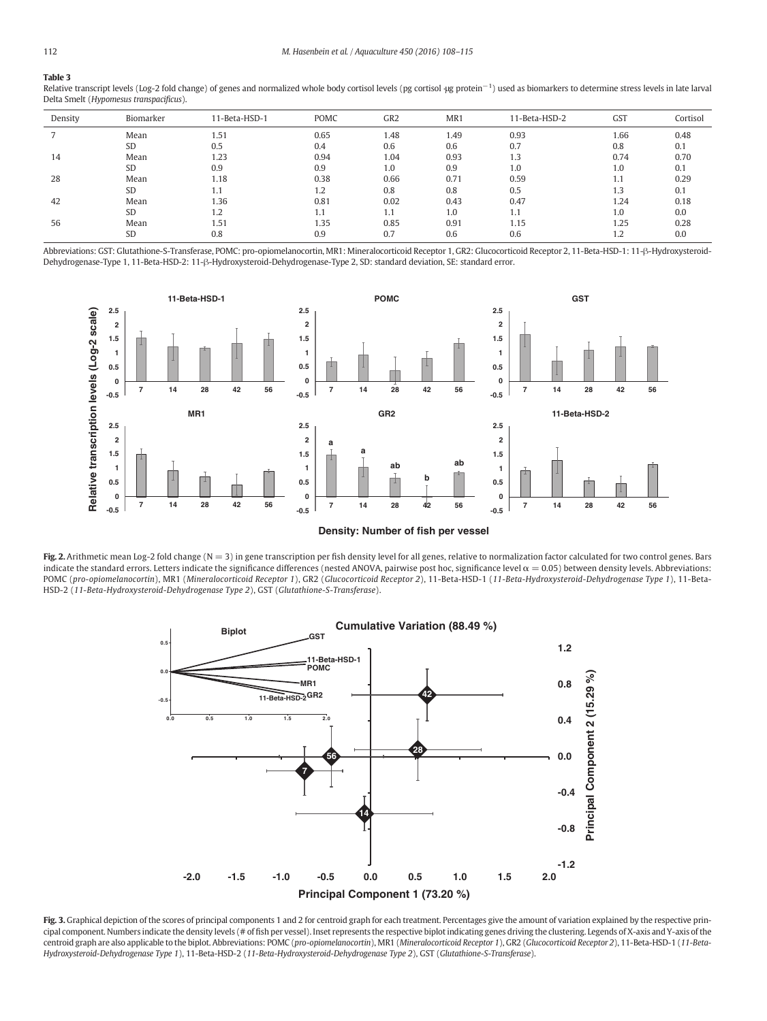<span id="page-4-0"></span>Table 3 Relative transcript levels (Log-2 fold change) of genes and normalized whole body cortisol levels (pg cortisol ·μg protein<sup>-1</sup>) used as biomarkers to determine stress levels in late larval Delta Smelt (Hypomesus transpacificus).

| Density | Biomarker | 11-Beta-HSD-1 | POMC | GR <sub>2</sub> | MR1  | 11-Beta-HSD-2 | <b>GST</b> | Cortisol |
|---------|-----------|---------------|------|-----------------|------|---------------|------------|----------|
|         | Mean      | 1.51          | 0.65 | 1.48            | 1.49 | 0.93          | 1.66       | 0.48     |
|         | <b>SD</b> | 0.5           | 0.4  | 0.6             | 0.6  | 0.7           | 0.8        | 0.1      |
| 14      | Mean      | 1.23          | 0.94 | 1.04            | 0.93 | 1.3           | 0.74       | 0.70     |
|         | <b>SD</b> | 0.9           | 0.9  | 1.0             | 0.9  | 1.0           | 1.0        | 0.1      |
| 28      | Mean      | 1.18          | 0.38 | 0.66            | 0.71 | 0.59          | 1.1        | 0.29     |
|         | <b>SD</b> | 1.1           | 1.2  | 0.8             | 0.8  | 0.5           | 1.3        | 0.1      |
| 42      | Mean      | 1.36          | 0.81 | 0.02            | 0.43 | 0.47          | 1.24       | 0.18     |
|         | <b>SD</b> | 1.2           | 1.1  | 1.1             | 1.0  |               | 1.0        | 0.0      |
| 56      | Mean      | 1.51          | 1.35 | 0.85            | 0.91 | 1.15          | 1.25       | 0.28     |
|         | <b>SD</b> | 0.8           | 0.9  | 0.7             | 0.6  | 0.6           | 1.2        | 0.0      |

Abbreviations: GST: Glutathione-S-Transferase, POMC: pro-opiomelanocortin, MR1: Mineralocorticoid Receptor 1, GR2: Glucocorticoid Receptor 2, 11-Beta-HSD-1: 11-β-Hydroxysteroid-Dehydrogenase-Type 1, 11-Beta-HSD-2: 11-β-Hydroxysteroid-Dehydrogenase-Type 2, SD: standard deviation, SE: standard error.



**Density: Number of fish per vessel**

Fig. 2. Arithmetic mean Log-2 fold change (N = 3) in gene transcription per fish density level for all genes, relative to normalization factor calculated for two control genes. Bars indicate the standard errors. Letters indicate the significance differences (nested ANOVA, pairwise post hoc, significance level  $\alpha$  = 0.05) between density levels. Abbreviations: POMC (pro-opiomelanocortin), MR1 (Mineralocorticoid Receptor 1), GR2 (Glucocorticoid Receptor 2), 11-Beta-HSD-1 (11-Beta-Hydroxysteroid-Dehydrogenase Type 1), 11-Beta-HSD-2 (11-Beta-Hydroxysteroid-Dehydrogenase Type 2), GST (Glutathione-S-Transferase).



Fig. 3. Graphical depiction of the scores of principal components 1 and 2 for centroid graph for each treatment. Percentages give the amount of variation explained by the respective principal component. Numbers indicate the density levels (# of fish per vessel). Inset represents the respective biplot indicating genes driving the clustering. Legends of X-axis and Y-axis of the centroid graph are also applicable to the biplot. Abbreviations: POMC (pro-opiomelanocortin), MR1 (Mineralocorticoid Receptor 1), GR2 (Glucocorticoid Receptor 2), 11-Beta-HSD-1 (11-Beta-Hydroxysteroid-Dehydrogenase Type 1), 11-Beta-HSD-2 (11-Beta-Hydroxysteroid-Dehydrogenase Type 2), GST (Glutathione-S-Transferase).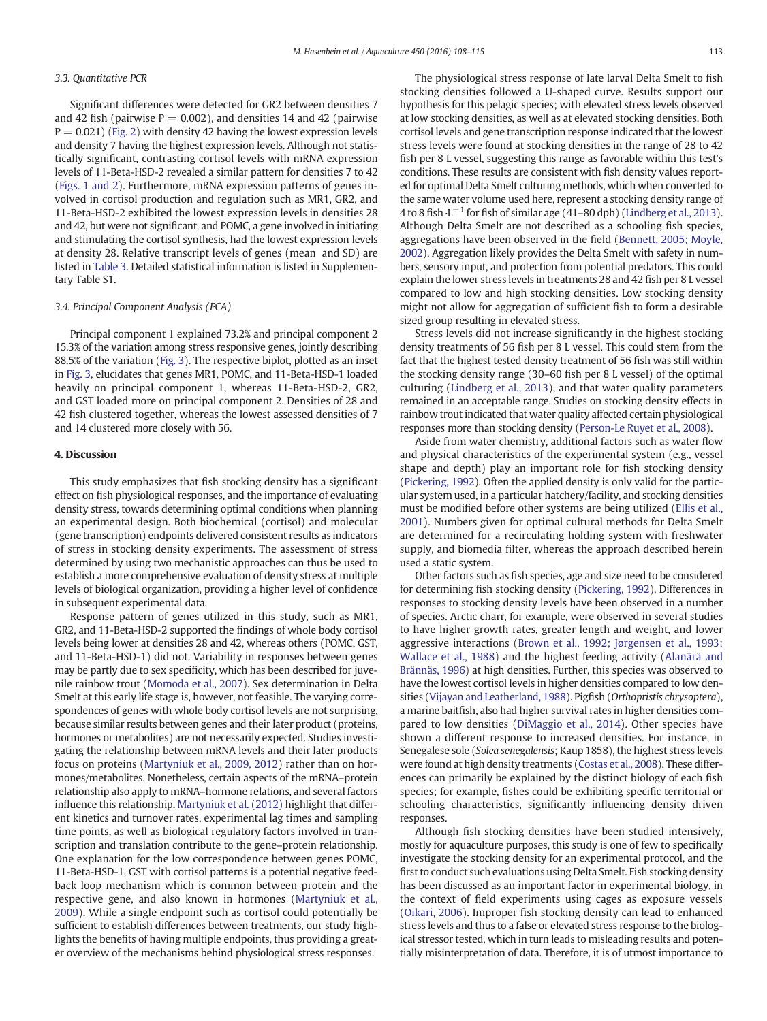# 3.3. Quantitative PCR

Significant differences were detected for GR2 between densities 7 and 42 fish (pairwise  $P = 0.002$ ), and densities 14 and 42 (pairwise  $P = 0.021$ ) [\(Fig. 2\)](#page-4-0) with density 42 having the lowest expression levels and density 7 having the highest expression levels. Although not statistically significant, contrasting cortisol levels with mRNA expression levels of 11-Beta-HSD-2 revealed a similar pattern for densities 7 to 42 [\(Figs. 1 and 2\)](#page-3-0). Furthermore, mRNA expression patterns of genes involved in cortisol production and regulation such as MR1, GR2, and 11-Beta-HSD-2 exhibited the lowest expression levels in densities 28 and 42, but were not significant, and POMC, a gene involved in initiating and stimulating the cortisol synthesis, had the lowest expression levels at density 28. Relative transcript levels of genes (mean and SD) are listed in [Table 3](#page-4-0). Detailed statistical information is listed in Supplementary Table S1.

#### 3.4. Principal Component Analysis (PCA)

Principal component 1 explained 73.2% and principal component 2 15.3% of the variation among stress responsive genes, jointly describing 88.5% of the variation [\(Fig. 3](#page-4-0)). The respective biplot, plotted as an inset in [Fig. 3](#page-4-0), elucidates that genes MR1, POMC, and 11-Beta-HSD-1 loaded heavily on principal component 1, whereas 11-Beta-HSD-2, GR2, and GST loaded more on principal component 2. Densities of 28 and 42 fish clustered together, whereas the lowest assessed densities of 7 and 14 clustered more closely with 56.

#### 4. Discussion

This study emphasizes that fish stocking density has a significant effect on fish physiological responses, and the importance of evaluating density stress, towards determining optimal conditions when planning an experimental design. Both biochemical (cortisol) and molecular (gene transcription) endpoints delivered consistent results as indicators of stress in stocking density experiments. The assessment of stress determined by using two mechanistic approaches can thus be used to establish a more comprehensive evaluation of density stress at multiple levels of biological organization, providing a higher level of confidence in subsequent experimental data.

Response pattern of genes utilized in this study, such as MR1, GR2, and 11-Beta-HSD-2 supported the findings of whole body cortisol levels being lower at densities 28 and 42, whereas others (POMC, GST, and 11-Beta-HSD-1) did not. Variability in responses between genes may be partly due to sex specificity, which has been described for juvenile rainbow trout ([Momoda et al., 2007\)](#page-7-0). Sex determination in Delta Smelt at this early life stage is, however, not feasible. The varying correspondences of genes with whole body cortisol levels are not surprising, because similar results between genes and their later product (proteins, hormones or metabolites) are not necessarily expected. Studies investigating the relationship between mRNA levels and their later products focus on proteins [\(Martyniuk et al., 2009, 2012](#page-7-0)) rather than on hormones/metabolites. Nonetheless, certain aspects of the mRNA–protein relationship also apply to mRNA–hormone relations, and several factors influence this relationship. [Martyniuk et al. \(2012\)](#page-7-0) highlight that different kinetics and turnover rates, experimental lag times and sampling time points, as well as biological regulatory factors involved in transcription and translation contribute to the gene–protein relationship. One explanation for the low correspondence between genes POMC, 11-Beta-HSD-1, GST with cortisol patterns is a potential negative feedback loop mechanism which is common between protein and the respective gene, and also known in hormones ([Martyniuk et al.,](#page-7-0) [2009\)](#page-7-0). While a single endpoint such as cortisol could potentially be sufficient to establish differences between treatments, our study highlights the benefits of having multiple endpoints, thus providing a greater overview of the mechanisms behind physiological stress responses.

The physiological stress response of late larval Delta Smelt to fish stocking densities followed a U-shaped curve. Results support our hypothesis for this pelagic species; with elevated stress levels observed at low stocking densities, as well as at elevated stocking densities. Both cortisol levels and gene transcription response indicated that the lowest stress levels were found at stocking densities in the range of 28 to 42 fish per 8 L vessel, suggesting this range as favorable within this test's conditions. These results are consistent with fish density values reported for optimal Delta Smelt culturing methods, which when converted to the same water volume used here, represent a stocking density range of 4 to 8 fish ⋅L<sup>-1</sup> for fish of similar age (41–80 dph) [\(Lindberg et al., 2013](#page-7-0)). Although Delta Smelt are not described as a schooling fish species, aggregations have been observed in the field ([Bennett, 2005; Moyle,](#page-6-0) [2002](#page-6-0)). Aggregation likely provides the Delta Smelt with safety in numbers, sensory input, and protection from potential predators. This could explain the lower stress levels in treatments 28 and 42 fish per 8 L vessel compared to low and high stocking densities. Low stocking density might not allow for aggregation of sufficient fish to form a desirable sized group resulting in elevated stress.

Stress levels did not increase significantly in the highest stocking density treatments of 56 fish per 8 L vessel. This could stem from the fact that the highest tested density treatment of 56 fish was still within the stocking density range (30–60 fish per 8 L vessel) of the optimal culturing [\(Lindberg et al., 2013](#page-7-0)), and that water quality parameters remained in an acceptable range. Studies on stocking density effects in rainbow trout indicated that water quality affected certain physiological responses more than stocking density [\(Person-Le Ruyet et al., 2008](#page-7-0)).

Aside from water chemistry, additional factors such as water flow and physical characteristics of the experimental system (e.g., vessel shape and depth) play an important role for fish stocking density [\(Pickering, 1992](#page-7-0)). Often the applied density is only valid for the particular system used, in a particular hatchery/facility, and stocking densities must be modified before other systems are being utilized ([Ellis et al.,](#page-6-0) [2001\)](#page-6-0). Numbers given for optimal cultural methods for Delta Smelt are determined for a recirculating holding system with freshwater supply, and biomedia filter, whereas the approach described herein used a static system.

Other factors such as fish species, age and size need to be considered for determining fish stocking density [\(Pickering, 1992\)](#page-7-0). Differences in responses to stocking density levels have been observed in a number of species. Arctic charr, for example, were observed in several studies to have higher growth rates, greater length and weight, and lower aggressive interactions [\(Brown et al., 1992; Jørgensen et al., 1993;](#page-6-0) [Wallace et al., 1988](#page-6-0)) and the highest feeding activity ([Alanärä and](#page-6-0) [Brännäs, 1996](#page-6-0)) at high densities. Further, this species was observed to have the lowest cortisol levels in higher densities compared to low densities ([Vijayan and Leatherland, 1988](#page-7-0)). Pigfish (Orthopristis chrysoptera), a marine baitfish, also had higher survival rates in higher densities compared to low densities ([DiMaggio et al., 2014](#page-6-0)). Other species have shown a different response to increased densities. For instance, in Senegalese sole (Solea senegalensis; Kaup 1858), the highest stress levels were found at high density treatments [\(Costas et al., 2008\)](#page-6-0). These differences can primarily be explained by the distinct biology of each fish species; for example, fishes could be exhibiting specific territorial or schooling characteristics, significantly influencing density driven responses.

Although fish stocking densities have been studied intensively, mostly for aquaculture purposes, this study is one of few to specifically investigate the stocking density for an experimental protocol, and the first to conduct such evaluations using Delta Smelt. Fish stocking density has been discussed as an important factor in experimental biology, in the context of field experiments using cages as exposure vessels [\(Oikari, 2006](#page-7-0)). Improper fish stocking density can lead to enhanced stress levels and thus to a false or elevated stress response to the biological stressor tested, which in turn leads to misleading results and potentially misinterpretation of data. Therefore, it is of utmost importance to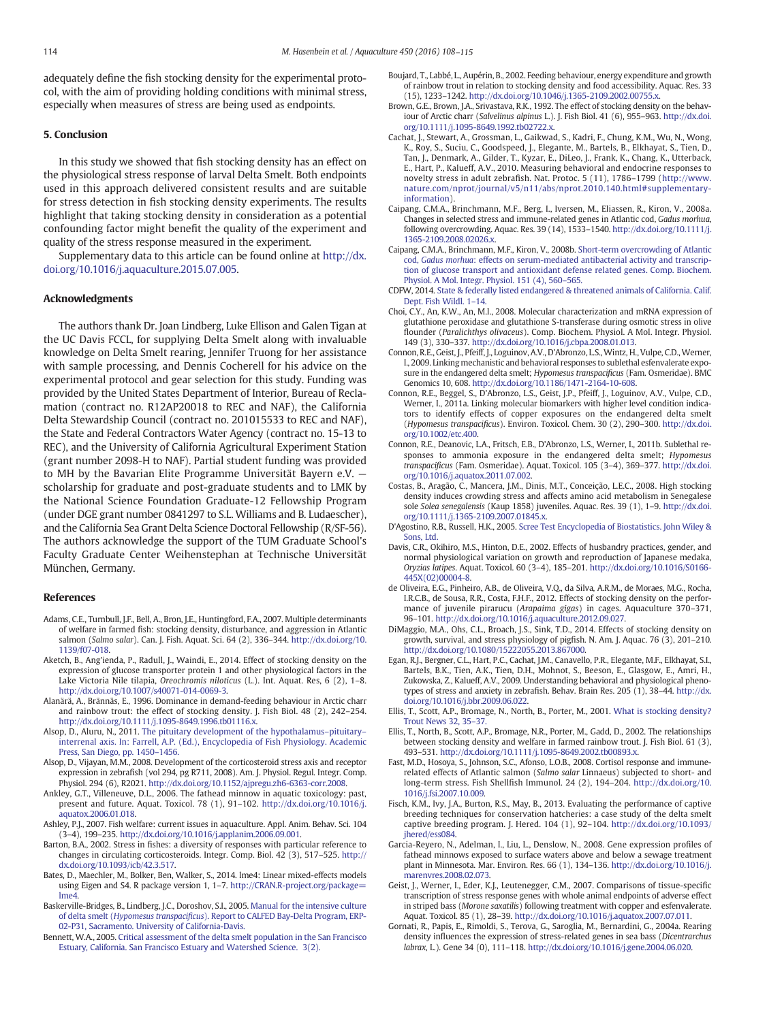<span id="page-6-0"></span>adequately define the fish stocking density for the experimental protocol, with the aim of providing holding conditions with minimal stress, especially when measures of stress are being used as endpoints.

### 5. Conclusion

In this study we showed that fish stocking density has an effect on the physiological stress response of larval Delta Smelt. Both endpoints used in this approach delivered consistent results and are suitable for stress detection in fish stocking density experiments. The results highlight that taking stocking density in consideration as a potential confounding factor might benefit the quality of the experiment and quality of the stress response measured in the experiment.

Supplementary data to this article can be found online at [http://dx.](http://dx.doi.org/10.1016/j.aquaculture.2015.07.005) [doi.org/10.1016/j.aquaculture.2015.07.005.](http://dx.doi.org/10.1016/j.aquaculture.2015.07.005)

#### Acknowledgments

The authors thank Dr. Joan Lindberg, Luke Ellison and Galen Tigan at the UC Davis FCCL, for supplying Delta Smelt along with invaluable knowledge on Delta Smelt rearing, Jennifer Truong for her assistance with sample processing, and Dennis Cocherell for his advice on the experimental protocol and gear selection for this study. Funding was provided by the United States Department of Interior, Bureau of Reclamation (contract no. R12AP20018 to REC and NAF), the California Delta Stewardship Council (contract no. 201015533 to REC and NAF), the State and Federal Contractors Water Agency (contract no. 15-13 to REC), and the University of California Agricultural Experiment Station (grant number 2098-H to NAF). Partial student funding was provided to MH by the Bavarian Elite Programme Universität Bayern e.V. scholarship for graduate and post-graduate students and to LMK by the National Science Foundation Graduate-12 Fellowship Program (under DGE grant number 0841297 to S.L. Williams and B. Ludaescher), and the California Sea Grant Delta Science Doctoral Fellowship (R/SF-56). The authors acknowledge the support of the TUM Graduate School's Faculty Graduate Center Weihenstephan at Technische Universität München, Germany.

# References

- Adams, C.E., Turnbull, J.F., Bell, A., Bron, J.E., Huntingford, F.A., 2007. Multiple determinants of welfare in farmed fish: stocking density, disturbance, and aggression in Atlantic salmon (Salmo salar). Can. J. Fish. Aquat. Sci. 64 (2), 336–344. http://dx.doi.org[/10.](http://dx.doi.org/10.1139/f07-018) [1139/f07-018](http://dx.doi.org/10.1139/f07-018).
- Aketch, B., Ang'ienda, P., Radull, J., Waindi, E., 2014. Effect of stocking density on the expression of glucose transporter protein 1 and other physiological factors in the Lake Victoria Nile tilapia, Oreochromis niloticus (L.). Int. Aquat. Res, 6 (2), 1–8. http://dx.doi.org[/10.1007/s40071-014-0069-3.](http://dx.doi.org/10.1007/s40071-014-0069-3)
- Alanärä, A., Brännäs, E., 1996. Dominance in demand-feeding behaviour in Arctic charr and rainbow trout: the effect of stocking density. J. Fish Biol. 48 (2), 242–254. http://dx.doi.org[/10.1111/j.1095-8649.1996.tb01116.x.](http://dx.doi.org/10.1111/j.1095-8649.1996.tb01116.x)
- Alsop, D., Aluru, N., 2011. [The pituitary development of the hypothalamus](http://refhub.elsevier.com/S0044-8486(15)30088-0/rf0200)–pituitary– [interrenal axis. In: Farrell, A.P. \(Ed.\), Encyclopedia of Fish Physiology. Academic](http://refhub.elsevier.com/S0044-8486(15)30088-0/rf0200)
- [Press, San Diego, pp. 1450](http://refhub.elsevier.com/S0044-8486(15)30088-0/rf0200)–1456. Alsop, D., Vijayan, M.M., 2008. Development of the corticosteroid stress axis and receptor expression in zebrafish (vol 294, pg R711, 2008). Am. J. Physiol. Regul. Integr. Comp. Physiol. 294 (6), R2021. http://dx.doi.org[/10.1152/ajpregu.zh6-6363-corr.2008](http://dx.doi.org/10.1152/ajpregu.zh6-6363-corr.2008).
- Ankley, G.T., Villeneuve, D.L., 2006. The fathead minnow in aquatic toxicology: past, present and future. Aquat. Toxicol. 78 (1), 91–102. http://dx.doi.org[/10.1016/j.](http://dx.doi.org/10.1016/j.aquatox.2006.01.018) [aquatox.2006.01.018.](http://dx.doi.org/10.1016/j.aquatox.2006.01.018)
- Ashley, P.J., 2007. Fish welfare: current issues in aquaculture. Appl. Anim. Behav. Sci. 104 (3–4), 199–235. http://dx.doi.org[/10.1016/j.applanim.2006.09.001.](http://dx.doi.org/10.1016/j.applanim.2006.09.001)
- Barton, B.A., 2002. Stress in fishes: a diversity of responses with particular reference to changes in circulating corticosteroids. Integr. Comp. Biol. 42 (3), 517–525. http:// dx.doi.org[/10.1093/icb/42.3.517](http://dx.doi.org/10.1093/icb/42.3.517).
- Bates, D., Maechler, M., Bolker, Ben, Walker, S., 2014. lme4: Linear mixed-effects models using Eigen and S4. R package version 1, 1-7. [http://CRAN.R-project.org/package=](http://CRAN.R-project.org/package=lme4) [lme4.](http://CRAN.R-project.org/package=lme4)
- Baskerville-Bridges, B., Lindberg, J.C., Doroshov, S.I., 2005. [Manual for the intensive culture](http://refhub.elsevier.com/S0044-8486(15)30088-0/rf0215) of delta smelt (Hypomesus transpacificus[\). Report to CALFED Bay-Delta Program, ERP-](http://refhub.elsevier.com/S0044-8486(15)30088-0/rf0215)[02-P31, Sacramento. University of California-Davis.](http://refhub.elsevier.com/S0044-8486(15)30088-0/rf0215)
- Bennett, W.A., 2005. [Critical assessment of the delta smelt population in the San Francisco](http://refhub.elsevier.com/S0044-8486(15)30088-0/rf0220) [Estuary, California. San Francisco Estuary and Watershed Science. 3\(2\).](http://refhub.elsevier.com/S0044-8486(15)30088-0/rf0220)
- Boujard, T., Labbé, L., Aupérin, B., 2002. Feeding behaviour, energy expenditure and growth of rainbow trout in relation to stocking density and food accessibility. Aquac. Res. 33 (15), 1233–1242. http://dx.doi.org[/10.1046/j.1365-2109.2002.00755.x.](http://dx.doi.org/10.1046/j.1365-2109.2002.00755.x)
- Brown, G.E., Brown, J.A., Srivastava, R.K., 1992. The effect of stocking density on the behaviour of Arctic charr (Salvelinus alpinus L.). J. Fish Biol. 41 (6), 955–963. http://dx.doi. org[/10.1111/j.1095-8649.1992.tb02722.x.](http://dx.doi.org/10.1111/j.1095-8649.1992.tb02722.x)
- Cachat, J., Stewart, A., Grossman, L., Gaikwad, S., Kadri, F., Chung, K.M., Wu, N., Wong, K., Roy, S., Suciu, C., Goodspeed, J., Elegante, M., Bartels, B., Elkhayat, S., Tien, D., Tan, J., Denmark, A., Gilder, T., Kyzar, E., DiLeo, J., Frank, K., Chang, K., Utterback, E., Hart, P., Kalueff, A.V., 2010. Measuring behavioral and endocrine responses to novelty stress in adult zebrafish. Nat. Protoc. 5 (11), 1786–1799 [\(http://www.](http://www.nature.com/nprot/journal/v5/n11/abs/nprot.2010.140.html#supplementary-information) [nature.com/nprot/journal/v5/n11/abs/nprot.2010.140.html#supplementary](http://www.nature.com/nprot/journal/v5/n11/abs/nprot.2010.140.html#supplementary-information)[information](http://www.nature.com/nprot/journal/v5/n11/abs/nprot.2010.140.html#supplementary-information)).
- Caipang, C.M.A., Brinchmann, M.F., Berg, I., Iversen, M., Eliassen, R., Kiron, V., 2008a. Changes in selected stress and immune-related genes in Atlantic cod, Gadus morhua, following overcrowding. Aquac. Res. 39 (14), 1533–1540. http://dx.doi.org/[10.1111/j.](http://dx.doi.org/10.1111/j.1365-2109.2008.02026.x) [1365-2109.2008.02026.x](http://dx.doi.org/10.1111/j.1365-2109.2008.02026.x).
- Caipang, C.M.A., Brinchmann, M.F., Kiron, V., 2008b. [Short-term overcrowding of Atlantic](http://refhub.elsevier.com/S0044-8486(15)30088-0/rf0055) cod, Gadus morhua[: effects on serum-mediated antibacterial activity and transcrip](http://refhub.elsevier.com/S0044-8486(15)30088-0/rf0055)[tion of glucose transport and antioxidant defense related genes. Comp. Biochem.](http://refhub.elsevier.com/S0044-8486(15)30088-0/rf0055) [Physiol. A Mol. Integr. Physiol. 151 \(4\), 560](http://refhub.elsevier.com/S0044-8486(15)30088-0/rf0055)–565.
- CDFW, 2014. [State & federally listed endangered & threatened animals of California. Calif.](http://refhub.elsevier.com/S0044-8486(15)30088-0/rf0060) [Dept. Fish Wildl. 1](http://refhub.elsevier.com/S0044-8486(15)30088-0/rf0060)–14.
- Choi, C.Y., An, K.W., An, M.I., 2008. Molecular characterization and mRNA expression of glutathione peroxidase and glutathione S-transferase during osmotic stress in olive flounder (Paralichthys olivaceus). Comp. Biochem. Physiol. A Mol. Integr. Physiol. 149 (3), 330–337. http://dx.doi.org[/10.1016/j.cbpa.2008.01.013.](http://dx.doi.org/10.1016/j.cbpa.2008.01.013)
- Connon, R.E., Geist, J., Pfeiff, J., Loguinov, A.V., D'Abronzo, L.S., Wintz, H., Vulpe, C.D.,Werner, I., 2009. Linking mechanistic and behavioral responses to sublethal esfenvalerate exposure in the endangered delta smelt; Hypomesus transpacificus (Fam. Osmeridae). BMC Genomics 10, 608. http://dx.doi.org[/10.1186/1471-2164-10-608.](http://dx.doi.org/10.1186/1471-2164-10-608)
- Connon, R.E., Beggel, S., D'Abronzo, L.S., Geist, J.P., Pfeiff, J., Loguinov, A.V., Vulpe, C.D., Werner, I., 2011a. Linking molecular biomarkers with higher level condition indicators to identify effects of copper exposures on the endangered delta smelt (Hypomesus transpacificus). Environ. Toxicol. Chem. 30 (2), 290–300. http://dx.doi. org[/10.1002/etc.400.](http://dx.doi.org/10.1002/etc.400)
- Connon, R.E., Deanovic, L.A., Fritsch, E.B., D'Abronzo, L.S., Werner, I., 2011b. Sublethal responses to ammonia exposure in the endangered delta smelt; Hypomesus transpacificus (Fam. Osmeridae). Aquat. Toxicol. 105 (3–4), 369–377. http://dx.doi. org[/10.1016/j.aquatox.2011.07.002](http://dx.doi.org/10.1016/j.aquatox.2011.07.002).
- Costas, B., Aragão, C., Mancera, J.M., Dinis, M.T., Conceição, L.E.C., 2008. High stocking density induces crowding stress and affects amino acid metabolism in Senegalese sole Solea senegalensis (Kaup 1858) juveniles. Aquac. Res. 39 (1), 1–9. http://dx.doi. org[/10.1111/j.1365-2109.2007.01845.x.](http://dx.doi.org/10.1111/j.1365-2109.2007.01845.x)
- D'Agostino, R.B., Russell, H.K., 2005. [Scree Test Encyclopedia of Biostatistics. John Wiley &](http://refhub.elsevier.com/S0044-8486(15)30088-0/rf0240) [Sons, Ltd.](http://refhub.elsevier.com/S0044-8486(15)30088-0/rf0240)
- Davis, C.R., Okihiro, M.S., Hinton, D.E., 2002. Effects of husbandry practices, gender, and normal physiological variation on growth and reproduction of Japanese medaka, Oryzias latipes. Aquat. Toxicol. 60 (3–4), 185–201. http://dx.doi.org[/10.1016/S0166-](http://dx.doi.org/10.1016/S0166-445X(02)00004-8) [445X\(02\)00004-8.](http://dx.doi.org/10.1016/S0166-445X(02)00004-8)
- de Oliveira, E.G., Pinheiro, A.B., de Oliveira, V.Q., da Silva, A.R.M., de Moraes, M.G., Rocha, I.R.C.B., de Sousa, R.R., Costa, F.H.F., 2012. Effects of stocking density on the performance of juvenile pirarucu (Arapaima gigas) in cages. Aquaculture 370–371, 96–101. http://dx.doi.org[/10.1016/j.aquaculture.2012.09.027.](http://dx.doi.org/10.1016/j.aquaculture.2012.09.027)
- DiMaggio, M.A., Ohs, C.L., Broach, J.S., Sink, T.D., 2014. Effects of stocking density on growth, survival, and stress physiology of pigfish. N. Am. J. Aquac. 76 (3), 201–210. http://dx.doi.org[/10.1080/15222055.2013.867000](http://dx.doi.org/10.1080/15222055.2013.867000).
- Egan, R.J., Bergner, C.L., Hart, P.C., Cachat, J.M., Canavello, P.R., Elegante, M.F., Elkhayat, S.I., Bartels, B.K., Tien, A.K., Tien, D.H., Mohnot, S., Beeson, E., Glasgow, E., Amri, H., Zukowska, Z., Kalueff, A.V., 2009. Understanding behavioral and physiological phenotypes of stress and anxiety in zebrafish. Behav. Brain Res. 205 (1), 38–44. http://dx. doi.org/[10.1016/j.bbr.2009.06.022](http://dx.doi.org/10.1016/j.bbr.2009.06.022).
- Ellis, T., Scott, A.P., Bromage, N., North, B., Porter, M., 2001. [What is stocking density?](http://refhub.elsevier.com/S0044-8486(15)30088-0/rf0265) [Trout News 32, 35](http://refhub.elsevier.com/S0044-8486(15)30088-0/rf0265)–37.
- Ellis, T., North, B., Scott, A.P., Bromage, N.R., Porter, M., Gadd, D., 2002. The relationships between stocking density and welfare in farmed rainbow trout. J. Fish Biol. 61 (3), 493–531. http://dx.doi.org/[10.1111/j.1095-8649.2002.tb00893.x.](http://dx.doi.org/10.1111/j.1095-8649.2002.tb00893.x)
- Fast, M.D., Hosoya, S., Johnson, S.C., Afonso, L.O.B., 2008. Cortisol response and immunerelated effects of Atlantic salmon (Salmo salar Linnaeus) subjected to short- and long-term stress. Fish Shellfish Immunol. 24 (2), 194–204. http://dx.doi.org/[10.](http://dx.doi.org/10.1016/j.fsi.2007.10.009) [1016/j.fsi.2007.10.009.](http://dx.doi.org/10.1016/j.fsi.2007.10.009)
- Fisch, K.M., Ivy, J.A., Burton, R.S., May, B., 2013. Evaluating the performance of captive breeding techniques for conservation hatcheries: a case study of the delta smelt captive breeding program. J. Hered. 104 (1), 92–104. http://dx.doi.org/[10.1093/](http://dx.doi.org/10.1093/jhered/ess084) [jhered/ess084](http://dx.doi.org/10.1093/jhered/ess084).
- Garcia-Reyero, N., Adelman, I., Liu, L., Denslow, N., 2008. Gene expression profiles of fathead minnows exposed to surface waters above and below a sewage treatment plant in Minnesota. Mar. Environ. Res. 66 (1), 134–136. http://dx.doi.org[/10.1016/j.](http://dx.doi.org/10.1016/j.marenvres.2008.02.073) [marenvres.2008.02.073.](http://dx.doi.org/10.1016/j.marenvres.2008.02.073)
- Geist, J., Werner, I., Eder, K.J., Leutenegger, C.M., 2007. Comparisons of tissue-specific transcription of stress response genes with whole animal endpoints of adverse effect in striped bass (Morone saxatilis) following treatment with copper and esfenvalerate. Aquat. Toxicol. 85 (1), 28–39. http://dx.doi.org/[10.1016/j.aquatox.2007.07.011](http://dx.doi.org/10.1016/j.aquatox.2007.07.011).
- Gornati, R., Papis, E., Rimoldi, S., Terova, G., Saroglia, M., Bernardini, G., 2004a. Rearing density influences the expression of stress-related genes in sea bass (Dicentrarchus labrax, L.). Gene 34 (0), 111–118. http://dx.doi.org[/10.1016/j.gene.2004.06.020.](http://dx.doi.org/10.1016/j.gene.2004.06.020)